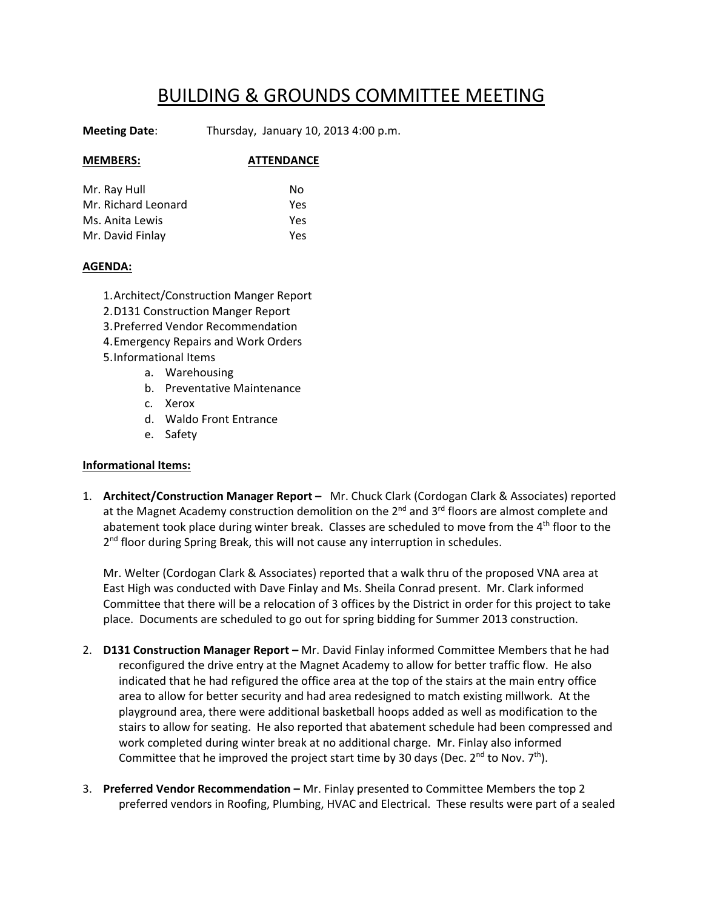## BUILDING & GROUNDS COMMITTEE MEETING

**Meeting Date**: Thursday, January 10, 2013 4:00 p.m.

## **MEMBERS: ATTENDANCE**

| Mr. Ray Hull        | N٥  |
|---------------------|-----|
| Mr. Richard Leonard | Yes |
| Ms. Anita Lewis     | Yes |
| Mr. David Finlay    | Yes |

## **AGENDA:**

1.Architect/Construction Manger Report 2.D131 Construction Manger Report 3.Preferred Vendor Recommendation 4.Emergency Repairs and Work Orders 5.Informational Items

- a. Warehousing
- b. Preventative Maintenance
- c. Xerox
- d. Waldo Front Entrance
- e. Safety

## **Informational Items:**

1. **Architect/Construction Manager Report –** Mr. Chuck Clark (Cordogan Clark & Associates) reported at the Magnet Academy construction demolition on the 2<sup>nd</sup> and 3<sup>rd</sup> floors are almost complete and abatement took place during winter break. Classes are scheduled to move from the 4<sup>th</sup> floor to the 2<sup>nd</sup> floor during Spring Break, this will not cause any interruption in schedules.

Mr. Welter (Cordogan Clark & Associates) reported that a walk thru of the proposed VNA area at East High was conducted with Dave Finlay and Ms. Sheila Conrad present. Mr. Clark informed Committee that there will be a relocation of 3 offices by the District in order for this project to take place. Documents are scheduled to go out for spring bidding for Summer 2013 construction.

- 2. **D131 Construction Manager Report –** Mr. David Finlay informed Committee Members that he had reconfigured the drive entry at the Magnet Academy to allow for better traffic flow. He also indicated that he had refigured the office area at the top of the stairs at the main entry office area to allow for better security and had area redesigned to match existing millwork. At the playground area, there were additional basketball hoops added as well as modification to the stairs to allow for seating. He also reported that abatement schedule had been compressed and work completed during winter break at no additional charge. Mr. Finlay also informed Committee that he improved the project start time by 30 days (Dec.  $2^{nd}$  to Nov.  $7^{th}$ ).
- 3. **Preferred Vendor Recommendation –** Mr. Finlay presented to Committee Members the top 2 preferred vendors in Roofing, Plumbing, HVAC and Electrical. These results were part of a sealed